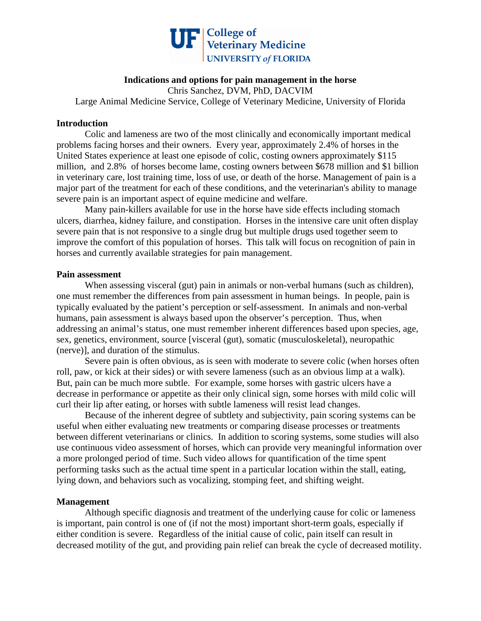

## **Indications and options for pain management in the horse**

Chris Sanchez, DVM, PhD, DACVIM Large Animal Medicine Service, College of Veterinary Medicine, University of Florida

#### **Introduction**

Colic and lameness are two of the most clinically and economically important medical problems facing horses and their owners. Every year, approximately 2.4% of horses in the United States experience at least one episode of colic, costing owners approximately \$115 million, and 2.8% of horses become lame, costing owners between \$678 million and \$1 billion in veterinary care, lost training time, loss of use, or death of the horse. Management of pain is a major part of the treatment for each of these conditions, and the veterinarian's ability to manage severe pain is an important aspect of equine medicine and welfare.

Many pain-killers available for use in the horse have side effects including stomach ulcers, diarrhea, kidney failure, and constipation. Horses in the intensive care unit often display severe pain that is not responsive to a single drug but multiple drugs used together seem to improve the comfort of this population of horses. This talk will focus on recognition of pain in horses and currently available strategies for pain management.

#### **Pain assessment**

When assessing visceral (gut) pain in animals or non-verbal humans (such as children), one must remember the differences from pain assessment in human beings. In people, pain is typically evaluated by the patient's perception or self-assessment. In animals and non-verbal humans, pain assessment is always based upon the observer's perception. Thus, when addressing an animal's status, one must remember inherent differences based upon species, age, sex, genetics, environment, source [visceral (gut), somatic (musculoskeletal), neuropathic (nerve)], and duration of the stimulus.

Severe pain is often obvious, as is seen with moderate to severe colic (when horses often roll, paw, or kick at their sides) or with severe lameness (such as an obvious limp at a walk). But, pain can be much more subtle. For example, some horses with gastric ulcers have a decrease in performance or appetite as their only clinical sign, some horses with mild colic will curl their lip after eating, or horses with subtle lameness will resist lead changes.

Because of the inherent degree of subtlety and subjectivity, pain scoring systems can be useful when either evaluating new treatments or comparing disease processes or treatments between different veterinarians or clinics. In addition to scoring systems, some studies will also use continuous video assessment of horses, which can provide very meaningful information over a more prolonged period of time. Such video allows for quantification of the time spent performing tasks such as the actual time spent in a particular location within the stall, eating, lying down, and behaviors such as vocalizing, stomping feet, and shifting weight.

# **Management**

 Although specific diagnosis and treatment of the underlying cause for colic or lameness is important, pain control is one of (if not the most) important short-term goals, especially if either condition is severe. Regardless of the initial cause of colic, pain itself can result in decreased motility of the gut, and providing pain relief can break the cycle of decreased motility.